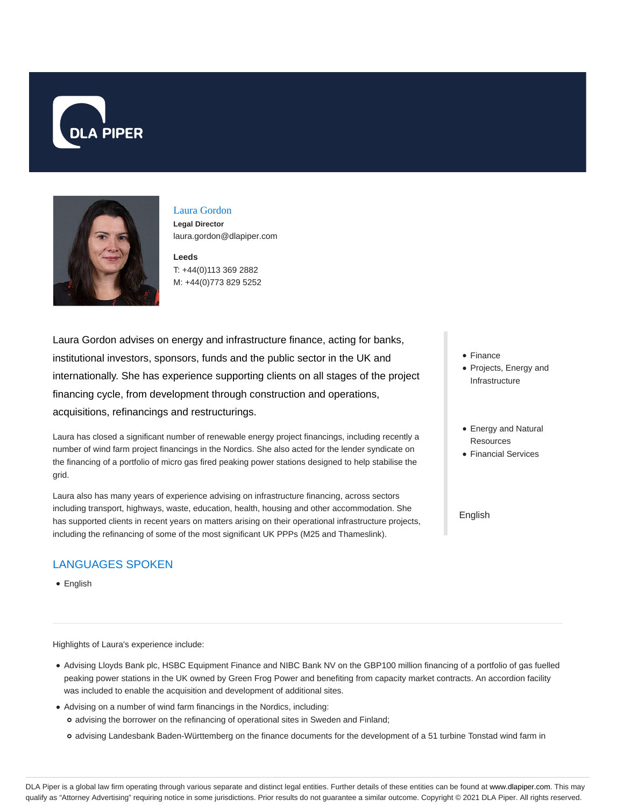



# Laura Gordon

**Legal Director** laura.gordon@dlapiper.com

**Leeds** T: +44(0)113 369 2882 M: +44(0)773 829 5252

Laura Gordon advises on energy and infrastructure finance, acting for banks, institutional investors, sponsors, funds and the public sector in the UK and internationally. She has experience supporting clients on all stages of the project financing cycle, from development through construction and operations, acquisitions, refinancings and restructurings.

Laura has closed a significant number of renewable energy project financings, including recently a number of wind farm project financings in the Nordics. She also acted for the lender syndicate on the financing of a portfolio of micro gas fired peaking power stations designed to help stabilise the grid.

Laura also has many years of experience advising on infrastructure financing, across sectors including transport, highways, waste, education, health, housing and other accommodation. She has supported clients in recent years on matters arising on their operational infrastructure projects, including the refinancing of some of the most significant UK PPPs (M25 and Thameslink).

# LANGUAGES SPOKEN

• English

Highlights of Laura's experience include:

- Advising Lloyds Bank plc, HSBC Equipment Finance and NIBC Bank NV on the GBP100 million financing of a portfolio of gas fuelled peaking power stations in the UK owned by Green Frog Power and benefiting from capacity market contracts. An accordion facility was included to enable the acquisition and development of additional sites.
- Advising on a number of wind farm financings in the Nordics, including: advising the borrower on the refinancing of operational sites in Sweden and Finland;
	- o advising Landesbank Baden-Württemberg on the finance documents for the development of a 51 turbine Tonstad wind farm in
- Finance
- Projects, Energy and Infrastructure
- Energy and Natural Resources
- **Financial Services**

English